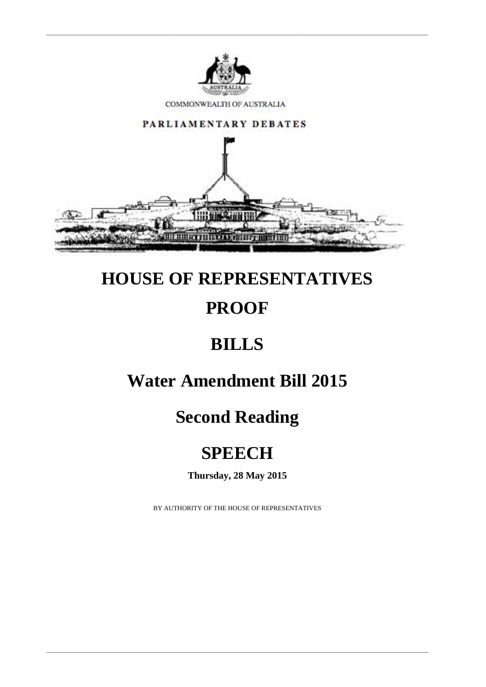

COMMONWEALTH OF AUSTRALIA



# **HOUSE OF REPRESENTATIVES PROOF**

### **BILLS**

### **Water Amendment Bill 2015**

# **Second Reading**

# **SPEECH**

**Thursday, 28 May 2015**

BY AUTHORITY OF THE HOUSE OF REPRESENTATIVES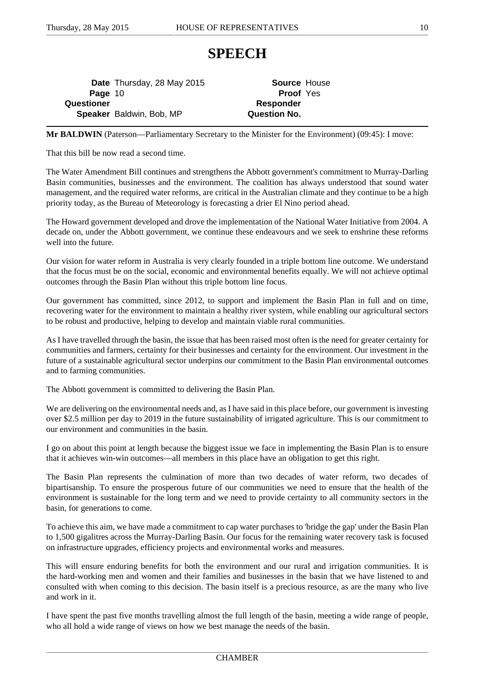#### **SPEECH**

**Date** Thursday, 28 May 2015 **Source** House **Page** 10 **Proof** Yes **Questioner Responder Speaker** Baldwin, Bob, MP **Question No.** 

**Mr BALDWIN** (Paterson—Parliamentary Secretary to the Minister for the Environment) (09:45): I move:

That this bill be now read a second time.

The Water Amendment Bill continues and strengthens the Abbott government's commitment to Murray-Darling Basin communities, businesses and the environment. The coalition has always understood that sound water management, and the required water reforms, are critical in the Australian climate and they continue to be a high priority today, as the Bureau of Meteorology is forecasting a drier El Nino period ahead.

The Howard government developed and drove the implementation of the National Water Initiative from 2004. A decade on, under the Abbott government, we continue these endeavours and we seek to enshrine these reforms well into the future.

Our vision for water reform in Australia is very clearly founded in a triple bottom line outcome. We understand that the focus must be on the social, economic and environmental benefits equally. We will not achieve optimal outcomes through the Basin Plan without this triple bottom line focus.

Our government has committed, since 2012, to support and implement the Basin Plan in full and on time, recovering water for the environment to maintain a healthy river system, while enabling our agricultural sectors to be robust and productive, helping to develop and maintain viable rural communities.

As I have travelled through the basin, the issue that has been raised most often is the need for greater certainty for communities and farmers, certainty for their businesses and certainty for the environment. Our investment in the future of a sustainable agricultural sector underpins our commitment to the Basin Plan environmental outcomes and to farming communities.

The Abbott government is committed to delivering the Basin Plan.

We are delivering on the environmental needs and, as I have said in this place before, our government is investing over \$2.5 million per day to 2019 in the future sustainability of irrigated agriculture. This is our commitment to our environment and communities in the basin.

I go on about this point at length because the biggest issue we face in implementing the Basin Plan is to ensure that it achieves win-win outcomes—all members in this place have an obligation to get this right.

The Basin Plan represents the culmination of more than two decades of water reform, two decades of bipartisanship. To ensure the prosperous future of our communities we need to ensure that the health of the environment is sustainable for the long term and we need to provide certainty to all community sectors in the basin, for generations to come.

To achieve this aim, we have made a commitment to cap water purchases to 'bridge the gap' under the Basin Plan to 1,500 gigalitres across the Murray-Darling Basin. Our focus for the remaining water recovery task is focused on infrastructure upgrades, efficiency projects and environmental works and measures.

This will ensure enduring benefits for both the environment and our rural and irrigation communities. It is the hard-working men and women and their families and businesses in the basin that we have listened to and consulted with when coming to this decision. The basin itself is a precious resource, as are the many who live and work in it.

I have spent the past five months travelling almost the full length of the basin, meeting a wide range of people, who all hold a wide range of views on how we best manage the needs of the basin.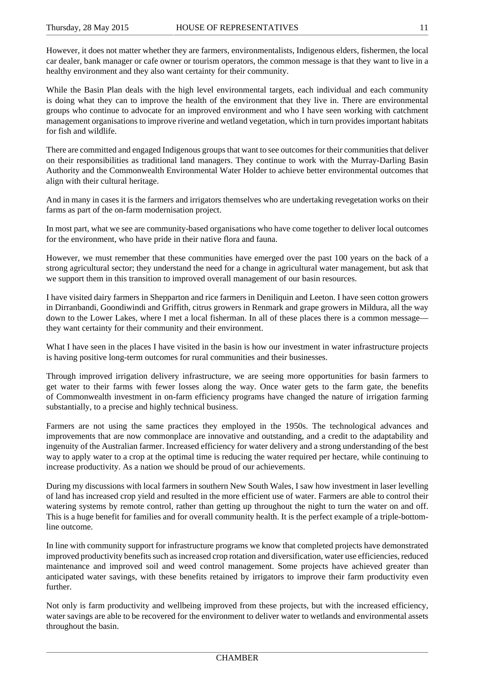However, it does not matter whether they are farmers, environmentalists, Indigenous elders, fishermen, the local car dealer, bank manager or cafe owner or tourism operators, the common message is that they want to live in a healthy environment and they also want certainty for their community.

While the Basin Plan deals with the high level environmental targets, each individual and each community is doing what they can to improve the health of the environment that they live in. There are environmental groups who continue to advocate for an improved environment and who I have seen working with catchment management organisations to improve riverine and wetland vegetation, which in turn provides important habitats for fish and wildlife.

There are committed and engaged Indigenous groups that want to see outcomes for their communities that deliver on their responsibilities as traditional land managers. They continue to work with the Murray-Darling Basin Authority and the Commonwealth Environmental Water Holder to achieve better environmental outcomes that align with their cultural heritage.

And in many in cases it is the farmers and irrigators themselves who are undertaking revegetation works on their farms as part of the on-farm modernisation project.

In most part, what we see are community-based organisations who have come together to deliver local outcomes for the environment, who have pride in their native flora and fauna.

However, we must remember that these communities have emerged over the past 100 years on the back of a strong agricultural sector; they understand the need for a change in agricultural water management, but ask that we support them in this transition to improved overall management of our basin resources.

I have visited dairy farmers in Shepparton and rice farmers in Deniliquin and Leeton. I have seen cotton growers in Dirranbandi, Goondiwindi and Griffith, citrus growers in Renmark and grape growers in Mildura, all the way down to the Lower Lakes, where I met a local fisherman. In all of these places there is a common message they want certainty for their community and their environment.

What I have seen in the places I have visited in the basin is how our investment in water infrastructure projects is having positive long-term outcomes for rural communities and their businesses.

Through improved irrigation delivery infrastructure, we are seeing more opportunities for basin farmers to get water to their farms with fewer losses along the way. Once water gets to the farm gate, the benefits of Commonwealth investment in on-farm efficiency programs have changed the nature of irrigation farming substantially, to a precise and highly technical business.

Farmers are not using the same practices they employed in the 1950s. The technological advances and improvements that are now commonplace are innovative and outstanding, and a credit to the adaptability and ingenuity of the Australian farmer. Increased efficiency for water delivery and a strong understanding of the best way to apply water to a crop at the optimal time is reducing the water required per hectare, while continuing to increase productivity. As a nation we should be proud of our achievements.

During my discussions with local farmers in southern New South Wales, I saw how investment in laser levelling of land has increased crop yield and resulted in the more efficient use of water. Farmers are able to control their watering systems by remote control, rather than getting up throughout the night to turn the water on and off. This is a huge benefit for families and for overall community health. It is the perfect example of a triple-bottomline outcome.

In line with community support for infrastructure programs we know that completed projects have demonstrated improved productivity benefits such as increased crop rotation and diversification, water use efficiencies, reduced maintenance and improved soil and weed control management. Some projects have achieved greater than anticipated water savings, with these benefits retained by irrigators to improve their farm productivity even further.

Not only is farm productivity and wellbeing improved from these projects, but with the increased efficiency, water savings are able to be recovered for the environment to deliver water to wetlands and environmental assets throughout the basin.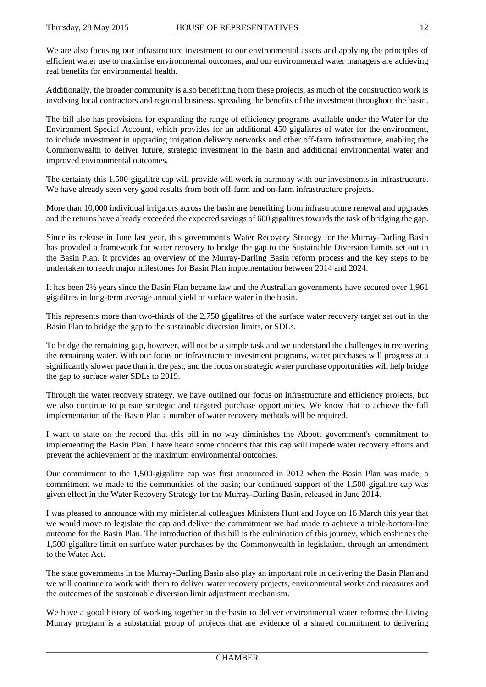We are also focusing our infrastructure investment to our environmental assets and applying the principles of efficient water use to maximise environmental outcomes, and our environmental water managers are achieving real benefits for environmental health.

Additionally, the broader community is also benefitting from these projects, as much of the construction work is involving local contractors and regional business, spreading the benefits of the investment throughout the basin.

The bill also has provisions for expanding the range of efficiency programs available under the Water for the Environment Special Account, which provides for an additional 450 gigalitres of water for the environment, to include investment in upgrading irrigation delivery networks and other off-farm infrastructure, enabling the Commonwealth to deliver future, strategic investment in the basin and additional environmental water and improved environmental outcomes.

The certainty this 1,500-gigalitre cap will provide will work in harmony with our investments in infrastructure. We have already seen very good results from both off-farm and on-farm infrastructure projects.

More than 10,000 individual irrigators across the basin are benefiting from infrastructure renewal and upgrades and the returns have already exceeded the expected savings of 600 gigalitres towards the task of bridging the gap.

Since its release in June last year, this government's Water Recovery Strategy for the Murray-Darling Basin has provided a framework for water recovery to bridge the gap to the Sustainable Diversion Limits set out in the Basin Plan. It provides an overview of the Murray-Darling Basin reform process and the key steps to be undertaken to reach major milestones for Basin Plan implementation between 2014 and 2024.

It has been 2½ years since the Basin Plan became law and the Australian governments have secured over 1,961 gigalitres in long-term average annual yield of surface water in the basin.

This represents more than two-thirds of the 2,750 gigalitres of the surface water recovery target set out in the Basin Plan to bridge the gap to the sustainable diversion limits, or SDLs.

To bridge the remaining gap, however, will not be a simple task and we understand the challenges in recovering the remaining water. With our focus on infrastructure investment programs, water purchases will progress at a significantly slower pace than in the past, and the focus on strategic water purchase opportunities will help bridge the gap to surface water SDLs to 2019.

Through the water recovery strategy, we have outlined our focus on infrastructure and efficiency projects, but we also continue to pursue strategic and targeted purchase opportunities. We know that to achieve the full implementation of the Basin Plan a number of water recovery methods will be required.

I want to state on the record that this bill in no way diminishes the Abbott government's commitment to implementing the Basin Plan. I have heard some concerns that this cap will impede water recovery efforts and prevent the achievement of the maximum environmental outcomes.

Our commitment to the 1,500-gigalitre cap was first announced in 2012 when the Basin Plan was made, a commitment we made to the communities of the basin; our continued support of the 1,500-gigalitre cap was given effect in the Water Recovery Strategy for the Murray-Darling Basin, released in June 2014.

I was pleased to announce with my ministerial colleagues Ministers Hunt and Joyce on 16 March this year that we would move to legislate the cap and deliver the commitment we had made to achieve a triple-bottom-line outcome for the Basin Plan. The introduction of this bill is the culmination of this journey, which enshrines the 1,500-gigalitre limit on surface water purchases by the Commonwealth in legislation, through an amendment to the Water Act.

The state governments in the Murray-Darling Basin also play an important role in delivering the Basin Plan and we will continue to work with them to deliver water recovery projects, environmental works and measures and the outcomes of the sustainable diversion limit adjustment mechanism.

We have a good history of working together in the basin to deliver environmental water reforms; the Living Murray program is a substantial group of projects that are evidence of a shared commitment to delivering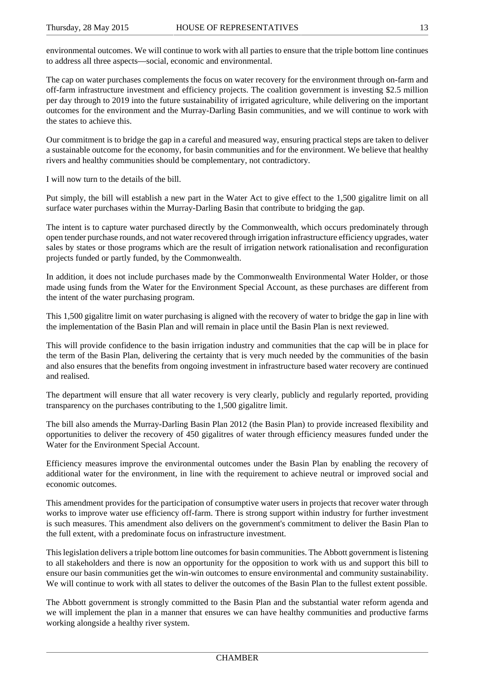environmental outcomes. We will continue to work with all parties to ensure that the triple bottom line continues to address all three aspects—social, economic and environmental.

The cap on water purchases complements the focus on water recovery for the environment through on-farm and off-farm infrastructure investment and efficiency projects. The coalition government is investing \$2.5 million per day through to 2019 into the future sustainability of irrigated agriculture, while delivering on the important outcomes for the environment and the Murray-Darling Basin communities, and we will continue to work with the states to achieve this.

Our commitment is to bridge the gap in a careful and measured way, ensuring practical steps are taken to deliver a sustainable outcome for the economy, for basin communities and for the environment. We believe that healthy rivers and healthy communities should be complementary, not contradictory.

I will now turn to the details of the bill.

Put simply, the bill will establish a new part in the Water Act to give effect to the 1,500 gigalitre limit on all surface water purchases within the Murray-Darling Basin that contribute to bridging the gap.

The intent is to capture water purchased directly by the Commonwealth, which occurs predominately through open tender purchase rounds, and not water recovered through irrigation infrastructure efficiency upgrades, water sales by states or those programs which are the result of irrigation network rationalisation and reconfiguration projects funded or partly funded, by the Commonwealth.

In addition, it does not include purchases made by the Commonwealth Environmental Water Holder, or those made using funds from the Water for the Environment Special Account, as these purchases are different from the intent of the water purchasing program.

This 1,500 gigalitre limit on water purchasing is aligned with the recovery of water to bridge the gap in line with the implementation of the Basin Plan and will remain in place until the Basin Plan is next reviewed.

This will provide confidence to the basin irrigation industry and communities that the cap will be in place for the term of the Basin Plan, delivering the certainty that is very much needed by the communities of the basin and also ensures that the benefits from ongoing investment in infrastructure based water recovery are continued and realised.

The department will ensure that all water recovery is very clearly, publicly and regularly reported, providing transparency on the purchases contributing to the 1,500 gigalitre limit.

The bill also amends the Murray-Darling Basin Plan 2012 (the Basin Plan) to provide increased flexibility and opportunities to deliver the recovery of 450 gigalitres of water through efficiency measures funded under the Water for the Environment Special Account.

Efficiency measures improve the environmental outcomes under the Basin Plan by enabling the recovery of additional water for the environment, in line with the requirement to achieve neutral or improved social and economic outcomes.

This amendment provides for the participation of consumptive water users in projects that recover water through works to improve water use efficiency off-farm. There is strong support within industry for further investment is such measures. This amendment also delivers on the government's commitment to deliver the Basin Plan to the full extent, with a predominate focus on infrastructure investment.

This legislation delivers a triple bottom line outcomes for basin communities. The Abbott government is listening to all stakeholders and there is now an opportunity for the opposition to work with us and support this bill to ensure our basin communities get the win-win outcomes to ensure environmental and community sustainability. We will continue to work with all states to deliver the outcomes of the Basin Plan to the fullest extent possible.

The Abbott government is strongly committed to the Basin Plan and the substantial water reform agenda and we will implement the plan in a manner that ensures we can have healthy communities and productive farms working alongside a healthy river system.